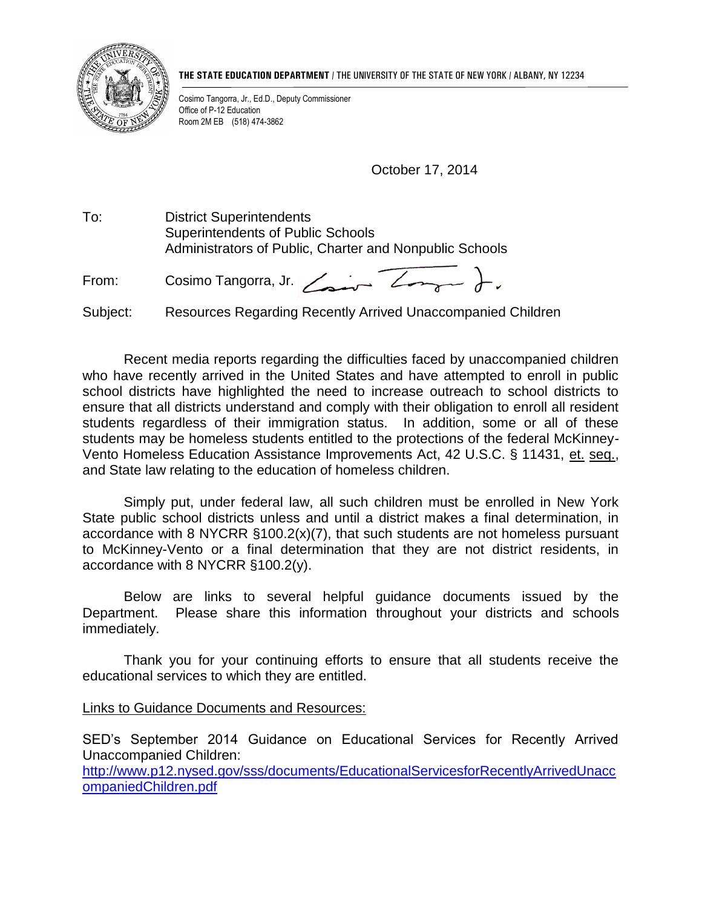

**THE STATE EDUCATION DEPARTMENT** / THE UNIVERSITY OF THE STATE OF NEW YORK / ALBANY, NY 12234

Cosimo Tangorra, Jr., Ed.D., Deputy Commissioner Office of P-12 Education Room 2M EB (518) 474-3862

October 17, 2014

To: District Superintendents Superintendents of Public Schools Administrators of Public, Charter and Nonpublic Schools

From: Cosimo Tangorra, Jr.  $\angle$ 

Subject: Resources Regarding Recently Arrived Unaccompanied Children

Recent media reports regarding the difficulties faced by unaccompanied children who have recently arrived in the United States and have attempted to enroll in public school districts have highlighted the need to increase outreach to school districts to ensure that all districts understand and comply with their obligation to enroll all resident students regardless of their immigration status. In addition, some or all of these students may be homeless students entitled to the protections of the federal McKinney-Vento Homeless Education Assistance Improvements Act, 42 U.S.C. § 11431, et. seq., and State law relating to the education of homeless children.

Simply put, under federal law, all such children must be enrolled in New York State public school districts unless and until a district makes a final determination, in accordance with 8 NYCRR §100.2(x)(7), that such students are not homeless pursuant to McKinney-Vento or a final determination that they are not district residents, in accordance with 8 NYCRR §100.2(y).

Below are links to several helpful guidance documents issued by the Department. Please share this information throughout your districts and schools immediately.

Thank you for your continuing efforts to ensure that all students receive the educational services to which they are entitled.

## Links to Guidance Documents and Resources:

SED's September 2014 Guidance on Educational Services for Recently Arrived Unaccompanied Children:

[http://www.p12.nysed.gov/sss/documents/EducationalServicesforRecentlyArrivedUnacc](http://www.p12.nysed.gov/sss/documents/EducationalServicesforRecentlyArrivedUnaccompaniedChildren.pdf) [ompaniedChildren.pdf](http://www.p12.nysed.gov/sss/documents/EducationalServicesforRecentlyArrivedUnaccompaniedChildren.pdf)